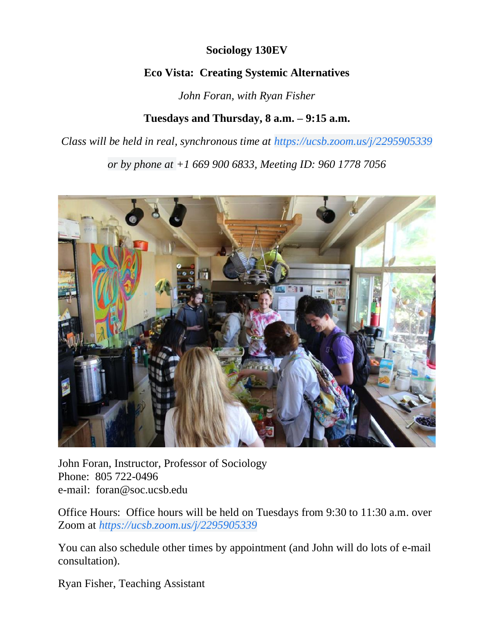## **Sociology 130EV**

## **Eco Vista: Creating Systemic Alternatives**

*John Foran, with Ryan Fisher*

# **Tuesdays and Thursday, 8 a.m. – 9:15 a.m.**

*Class will be held in real, synchronous time at [https://ucsb.zoom.us/j/2295905339](https://www.google.com/url?q=https://ucsb.zoom.us/j/2295905339&sa=D&ust=1586039086802000&usg=AOvVaw17DsHKuCduplxbpYyVxsdH)*

*or by phone at +1 669 900 6833, Meeting ID: 960 1778 7056*



John Foran, Instructor, Professor of Sociology Phone: 805 722-0496 e-mail: [foran@soc.ucsb.edu](mailto:foran@soc.ucsb.edu)

Office Hours: Office hours will be held on Tuesdays from 9:30 to 11:30 a.m. over Zoom at *[https://ucsb.zoom.us/j/2295905339](https://www.google.com/url?q=https://ucsb.zoom.us/j/2295905339&sa=D&ust=1586039086802000&usg=AOvVaw17DsHKuCduplxbpYyVxsdH)*

You can also schedule other times by appointment (and John will do lots of e-mail consultation).

Ryan Fisher, Teaching Assistant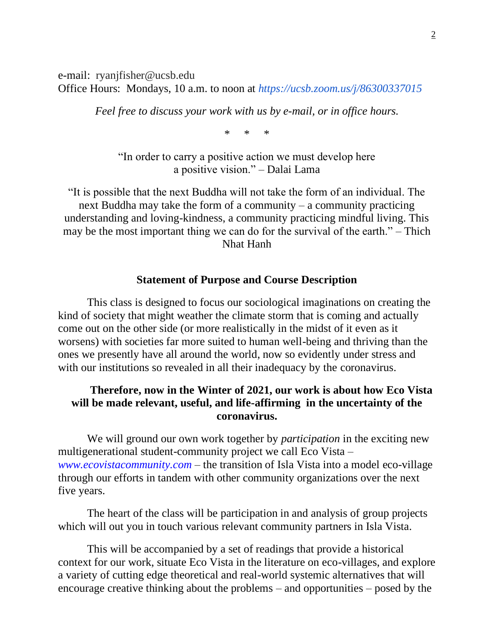e-mail: ryanjfisher@ucsb.edu Office Hours: Mondays, 10 a.m. to noon at *<https://ucsb.zoom.us/j/86300337015>*

*Feel free to discuss your work with us by e-mail, or in office hours.*

\* \* \*

"In order to carry a positive action we must develop here a positive vision." – Dalai Lama

"It is possible that the next Buddha will not take the form of an individual. The next Buddha may take the form of a community – a community practicing understanding and loving-kindness, a community practicing mindful living. This may be the most important thing we can do for the survival of the earth." – Thich Nhat Hanh

### **Statement of Purpose and Course Description**

This class is designed to focus our sociological imaginations on creating the kind of society that might weather the climate storm that is coming and actually come out on the other side (or more realistically in the midst of it even as it worsens) with societies far more suited to human well-being and thriving than the ones we presently have all around the world, now so evidently under stress and with our institutions so revealed in all their inadequacy by the coronavirus.

## **Therefore, now in the Winter of 2021, our work is about how Eco Vista will be made relevant, useful, and life-affirming in the uncertainty of the coronavirus.**

We will ground our own work together by *participation* in the exciting new multigenerational student-community project we call Eco Vista – *[www.ecovistacommunity.com](http://www.ecovistacommunity.com/)* – the transition of Isla Vista into a model eco-village through our efforts in tandem with other community organizations over the next five years.

The heart of the class will be participation in and analysis of group projects which will out you in touch various relevant community partners in Isla Vista.

This will be accompanied by a set of readings that provide a historical context for our work, situate Eco Vista in the literature on eco-villages, and explore a variety of cutting edge theoretical and real-world systemic alternatives that will encourage creative thinking about the problems – and opportunities – posed by the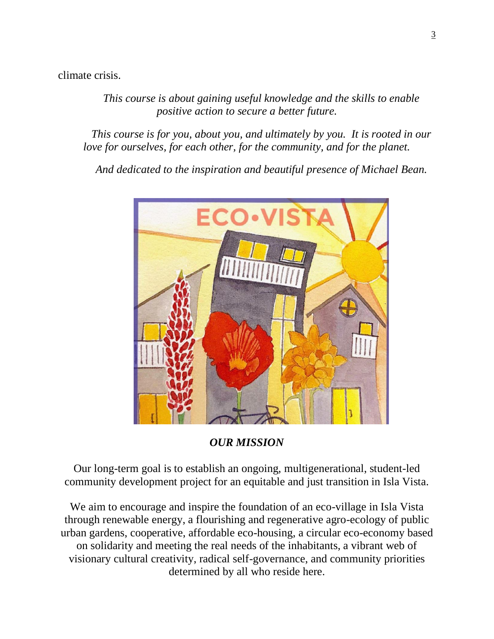climate crisis.

*This course is about gaining useful knowledge and the skills to enable positive action to secure a better future.*

*This course is for you, about you, and ultimately by you. It is rooted in our love for ourselves, for each other, for the community, and for the planet.*

*And dedicated to the inspiration and beautiful presence of Michael Bean.*



*OUR MISSION*

Our long-term goal is to establish an ongoing, multigenerational, student-led community development project for an equitable and just transition in Isla Vista.

We aim to encourage and inspire the foundation of an eco-village in Isla Vista through renewable energy, a flourishing and regenerative agro-ecology of public urban gardens, cooperative, affordable eco-housing, a circular eco-economy based on solidarity and meeting the real needs of the inhabitants, a vibrant web of visionary cultural creativity, radical self-governance, and community priorities determined by all who reside here.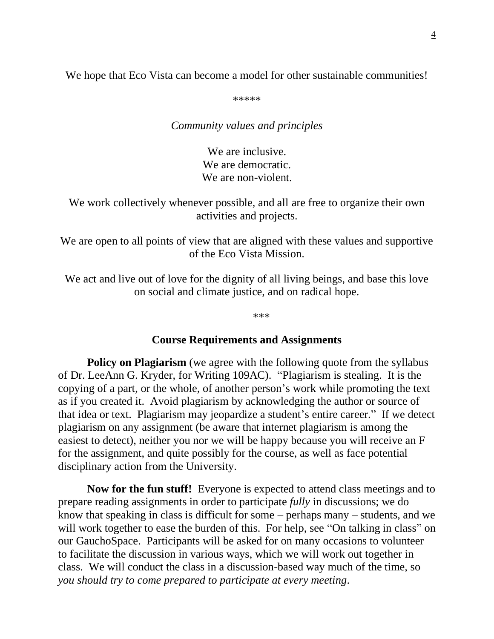We hope that Eco Vista can become a model for other sustainable communities!

\*\*\*\*\*

*Community values and principles*

We are inclusive. We are democratic. We are non-violent.

We work collectively whenever possible, and all are free to organize their own activities and projects.

We are open to all points of view that are aligned with these values and supportive of the Eco Vista Mission.

We act and live out of love for the dignity of all living beings, and base this love on social and climate justice, and on radical hope.

\*\*\*

#### **Course Requirements and Assignments**

**Policy on Plagiarism** (we agree with the following quote from the syllabus of Dr. LeeAnn G. Kryder, for Writing 109AC). "Plagiarism is stealing. It is the copying of a part, or the whole, of another person's work while promoting the text as if you created it. Avoid plagiarism by acknowledging the author or source of that idea or text. Plagiarism may jeopardize a student's entire career." If we detect plagiarism on any assignment (be aware that internet plagiarism is among the easiest to detect), neither you nor we will be happy because you will receive an F for the assignment, and quite possibly for the course, as well as face potential disciplinary action from the University.

**Now for the fun stuff!** Everyone is expected to attend class meetings and to prepare reading assignments in order to participate *fully* in discussions; we do know that speaking in class is difficult for some – perhaps many – students, and we will work together to ease the burden of this. For help, see "On talking in class" on our GauchoSpace. Participants will be asked for on many occasions to volunteer to facilitate the discussion in various ways, which we will work out together in class. We will conduct the class in a discussion-based way much of the time, so *you should try to come prepared to participate at every meeting*.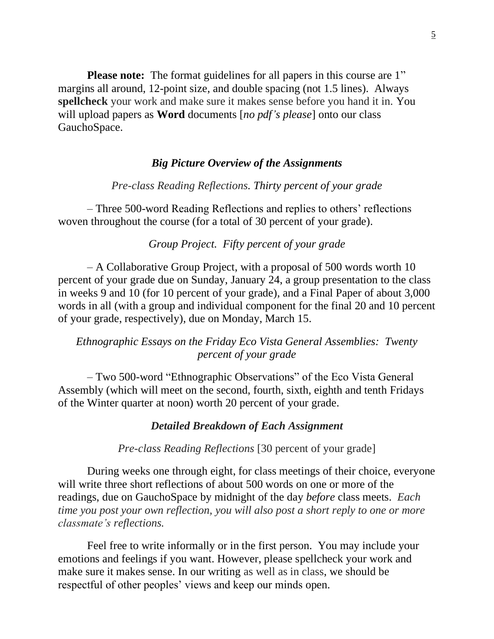**Please note:** The format guidelines for all papers in this course are 1" margins all around, 12-point size, and double spacing (not 1.5 lines). Always **spellcheck** your work and make sure it makes sense before you hand it in. You will upload papers as **Word** documents [*no pdf's please*] onto our class GauchoSpace.

#### *Big Picture Overview of the Assignments*

#### *Pre-class Reading Reflections. Thirty percent of your grade*

– Three 500-word Reading Reflections and replies to others' reflections woven throughout the course (for a total of 30 percent of your grade).

#### *Group Project. Fifty percent of your grade*

– A Collaborative Group Project, with a proposal of 500 words worth 10 percent of your grade due on Sunday, January 24, a group presentation to the class in weeks 9 and 10 (for 10 percent of your grade), and a Final Paper of about 3,000 words in all (with a group and individual component for the final 20 and 10 percent of your grade, respectively), due on Monday, March 15.

## *Ethnographic Essays on the Friday Eco Vista General Assemblies: Twenty percent of your grade*

– Two 500-word "Ethnographic Observations" of the Eco Vista General Assembly (which will meet on the second, fourth, sixth, eighth and tenth Fridays of the Winter quarter at noon) worth 20 percent of your grade.

#### *Detailed Breakdown of Each Assignment*

*Pre-class Reading Reflections* [30 percent of your grade]

During weeks one through eight, for class meetings of their choice, everyone will write three short reflections of about 500 words on one or more of the readings, due on GauchoSpace by midnight of the day *before* class meets. *Each time you post your own reflection, you will also post a short reply to one or more classmate's reflections.*

Feel free to write informally or in the first person. You may include your emotions and feelings if you want. However, please spellcheck your work and make sure it makes sense. In our writing as well as in class, we should be respectful of other peoples' views and keep our minds open.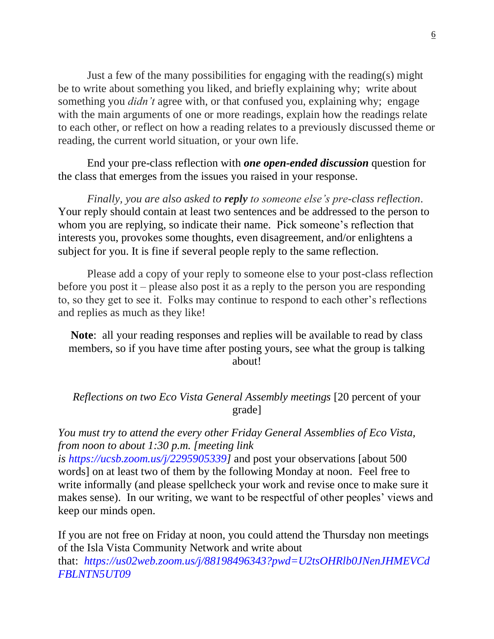Just a few of the many possibilities for engaging with the reading(s) might be to write about something you liked, and briefly explaining why; write about something you *didn't* agree with, or that confused you, explaining why; engage with the main arguments of one or more readings, explain how the readings relate to each other, or reflect on how a reading relates to a previously discussed theme or reading, the current world situation, or your own life.

End your pre-class reflection with *one open-ended discussion* question for the class that emerges from the issues you raised in your response.

*Finally, you are also asked to reply to someone else's pre-class reflection*. Your reply should contain at least two sentences and be addressed to the person to whom you are replying, so indicate their name. Pick someone's reflection that interests you, provokes some thoughts, even disagreement, and/or enlightens a subject for you. It is fine if several people reply to the same reflection.

Please add a copy of your reply to someone else to your post-class reflection before you post it – please also post it as a reply to the person you are responding to, so they get to see it. Folks may continue to respond to each other's reflections and replies as much as they like!

**Note**: all your reading responses and replies will be available to read by class members, so if you have time after posting yours, see what the group is talking about!

*Reflections on two Eco Vista General Assembly meetings* [20 percent of your grade]

*You must try to attend the every other Friday General Assemblies of Eco Vista, from noon to about 1:30 p.m. [meeting link* 

*is [https://ucsb.zoom.us/j/2295905339\]](https://ucsb.zoom.us/j/2295905339)* and post your observations [about 500 words] on at least two of them by the following Monday at noon. Feel free to write informally (and please spellcheck your work and revise once to make sure it makes sense). In our writing, we want to be respectful of other peoples' views and keep our minds open.

If you are not free on Friday at noon, you could attend the Thursday non meetings of the Isla Vista Community Network and write about that: *[https://us02web.zoom.us/j/88198496343?pwd=U2tsOHRlb0JNenJHMEVCd](https://us02web.zoom.us/j/88198496343?pwd=U2tsOHRlb0JNenJHMEVCdFBLNTN5UT09) [FBLNTN5UT09](https://us02web.zoom.us/j/88198496343?pwd=U2tsOHRlb0JNenJHMEVCdFBLNTN5UT09)*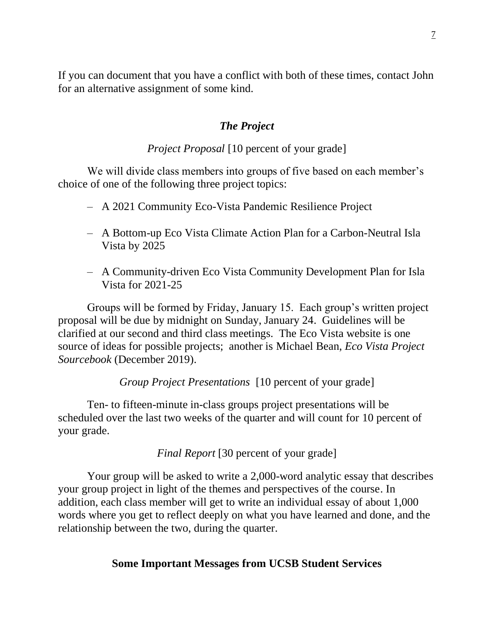If you can document that you have a conflict with both of these times, contact John for an alternative assignment of some kind.

### *The Project*

## *Project Proposal* [10 percent of your grade]

We will divide class members into groups of five based on each member's choice of one of the following three project topics:

- A 2021 Community Eco-Vista Pandemic Resilience Project
- A Bottom-up Eco Vista Climate Action Plan for a Carbon-Neutral Isla Vista by 2025
- A Community-driven Eco Vista Community Development Plan for Isla Vista for 2021-25

Groups will be formed by Friday, January 15. Each group's written project proposal will be due by midnight on Sunday, January 24. Guidelines will be clarified at our second and third class meetings. The Eco Vista website is one source of ideas for possible projects; another is Michael Bean, *Eco Vista Project Sourcebook* (December 2019).

*Group Project Presentations* [10 percent of your grade]

Ten- to fifteen-minute in-class groups project presentations will be scheduled over the last two weeks of the quarter and will count for 10 percent of your grade.

*Final Report* [30 percent of your grade]

Your group will be asked to write a 2,000-word analytic essay that describes your group project in light of the themes and perspectives of the course. In addition, each class member will get to write an individual essay of about 1,000 words where you get to reflect deeply on what you have learned and done, and the relationship between the two, during the quarter.

### **Some Important Messages from UCSB Student Services**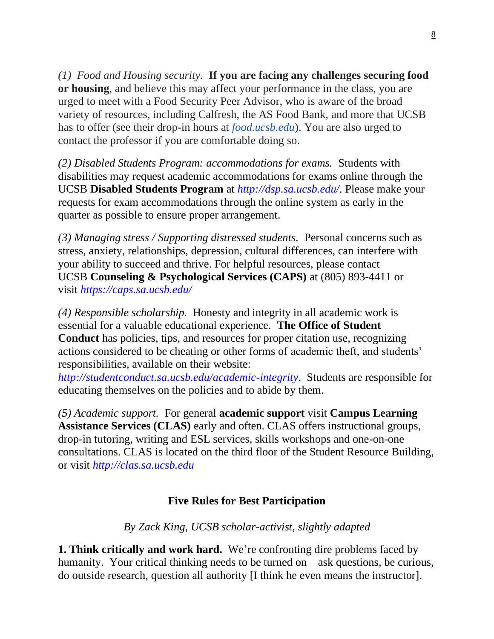*(1) Food and Housing security.* **If you are facing any challenges securing food or housing**, and believe this may affect your performance in the class, you are urged to meet with a Food Security Peer Advisor, who is aware of the broad variety of resources, including Calfresh, the AS Food Bank, and more that UCSB has to offer (see their drop-in hours at *[food.ucsb.edu](http://food.ucsb.edu/)*). You are also urged to contact the professor if you are comfortable doing so.

*(2) Disabled Students Program: accommodations for exams.* Students with disabilities may request academic accommodations for exams online through the UCSB **Disabled Students Program** at *http://dsp.sa.ucsb.edu/*. Please make your requests for exam accommodations through the online system as early in the quarter as possible to ensure proper arrangement.

*(3) Managing stress / Supporting distressed students.* Personal concerns such as stress, anxiety, relationships, depression, cultural differences, can interfere with your ability to succeed and thrive. For helpful resources, please contact UCSB **Counseling & Psychological Services (CAPS)** at (805) 893-4411 or visit *[https://caps.sa.ucsb.edu/](https://caps.sa.ucsb.edu/ )*

*(4) Responsible scholarship.* Honesty and integrity in all academic work is essential for a valuable educational experience. **The Office of Student Conduct** has policies, tips, and resources for proper citation use, recognizing actions considered to be cheating or other forms of academic theft, and students' responsibilities, available on their website:

*http://studentconduct.sa.ucsb.edu/academic-integrity*. Students are responsible for educating themselves on the policies and to abide by them.

*(5) Academic support.* For general **academic support** visit **Campus Learning Assistance Services (CLAS)** early and often. CLAS offers instructional groups, drop-in tutoring, writing and ESL services, skills workshops and one-on-one consultations. CLAS is located on the third floor of the Student Resource Building, or visit *http://clas.sa.ucsb.edu*

# **Five Rules for Best Participation**

*By Zack King, UCSB scholar-activist, slightly adapted*

**1. Think critically and work hard.** We're confronting dire problems faced by humanity. Your critical thinking needs to be turned on – ask questions, be curious, do outside research, question all authority [I think he even means the instructor].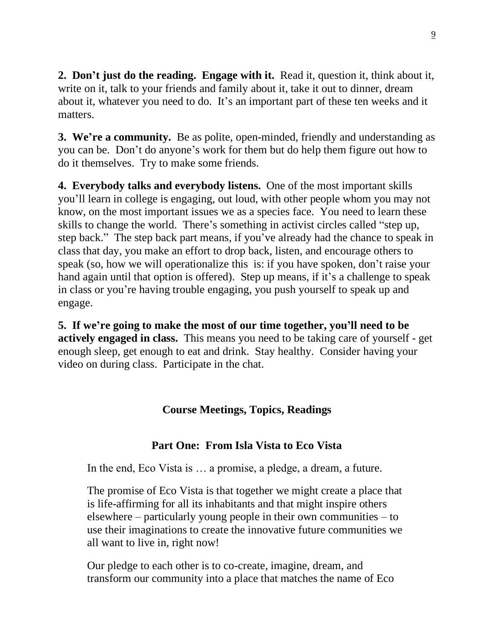**2. Don't just do the reading. Engage with it.** Read it, question it, think about it, write on it, talk to your friends and family about it, take it out to dinner, dream about it, whatever you need to do. It's an important part of these ten weeks and it matters.

**3. We're a community.** Be as polite, open-minded, friendly and understanding as you can be. Don't do anyone's work for them but do help them figure out how to do it themselves. Try to make some friends.

**4. Everybody talks and everybody listens.** One of the most important skills you'll learn in college is engaging, out loud, with other people whom you may not know, on the most important issues we as a species face. You need to learn these skills to change the world. There's something in activist circles called "step up, step back." The step back part means, if you've already had the chance to speak in class that day, you make an effort to drop back, listen, and encourage others to speak (so, how we will operationalize this is: if you have spoken, don't raise your hand again until that option is offered). Step up means, if it's a challenge to speak in class or you're having trouble engaging, you push yourself to speak up and engage.

**5. If we're going to make the most of our time together, you'll need to be actively engaged in class.** This means you need to be taking care of yourself - get enough sleep, get enough to eat and drink. Stay healthy. Consider having your video on during class. Participate in the chat.

## **Course Meetings, Topics, Readings**

## **Part One: From Isla Vista to Eco Vista**

In the end, Eco Vista is … a promise, a pledge, a dream, a future.

The promise of Eco Vista is that together we might create a place that is life-affirming for all its inhabitants and that might inspire others elsewhere – particularly young people in their own communities – to use their imaginations to create the innovative future communities we all want to live in, right now!

Our pledge to each other is to co-create, imagine, dream, and transform our community into a place that matches the name of Eco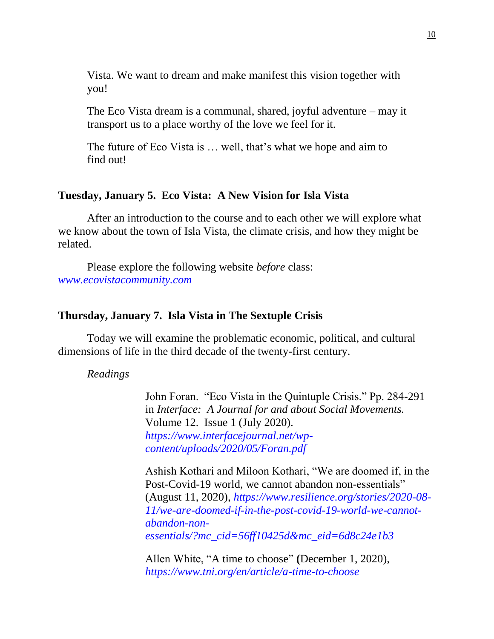Vista. We want to dream and make manifest this vision together with you!

The Eco Vista dream is a communal, shared, joyful adventure – may it transport us to a place worthy of the love we feel for it.

The future of Eco Vista is … well, that's what we hope and aim to find out!

## **Tuesday, January 5. Eco Vista: A New Vision for Isla Vista**

After an introduction to the course and to each other we will explore what we know about the town of Isla Vista, the climate crisis, and how they might be related.

Please explore the following website *before* class: *[www.ecovistacommunity.com](file:///E:/Classes/130EV/New%20course%20proposal/www.ecovistacommunity.com)*

#### **Thursday, January 7. Isla Vista in The Sextuple Crisis**

Today we will examine the problematic economic, political, and cultural dimensions of life in the third decade of the twenty-first century.

*Readings*

John Foran. "Eco Vista in the Quintuple Crisis." Pp. 284-291 in *Interface: A Journal for and about Social Movements.*  Volume 12. Issue 1 (July 2020). *[https://www.interfacejournal.net/wp](https://www.interfacejournal.net/wp-content/uploads/2020/05/Foran.pdf)[content/uploads/2020/05/Foran.pdf](https://www.interfacejournal.net/wp-content/uploads/2020/05/Foran.pdf)*

Ashish Kothari and Miloon Kothari, "We are doomed if, in the Post-Covid-19 world, we cannot abandon non-essentials" (August 11, 2020), *[https://www.resilience.org/stories/2020-08-](https://www.resilience.org/stories/2020-08-11/we-are-doomed-if-in-the-post-covid-19-world-we-cannot-abandon-non-essentials/?mc_cid=56ff10425d&mc_eid=6d8c24e1b3) [11/we-are-doomed-if-in-the-post-covid-19-world-we-cannot](https://www.resilience.org/stories/2020-08-11/we-are-doomed-if-in-the-post-covid-19-world-we-cannot-abandon-non-essentials/?mc_cid=56ff10425d&mc_eid=6d8c24e1b3)[abandon-non](https://www.resilience.org/stories/2020-08-11/we-are-doomed-if-in-the-post-covid-19-world-we-cannot-abandon-non-essentials/?mc_cid=56ff10425d&mc_eid=6d8c24e1b3)[essentials/?mc\\_cid=56ff10425d&mc\\_eid=6d8c24e1b3](https://www.resilience.org/stories/2020-08-11/we-are-doomed-if-in-the-post-covid-19-world-we-cannot-abandon-non-essentials/?mc_cid=56ff10425d&mc_eid=6d8c24e1b3)*

Allen White, "A time to choose" **(**December 1, 2020), *<https://www.tni.org/en/article/a-time-to-choose>*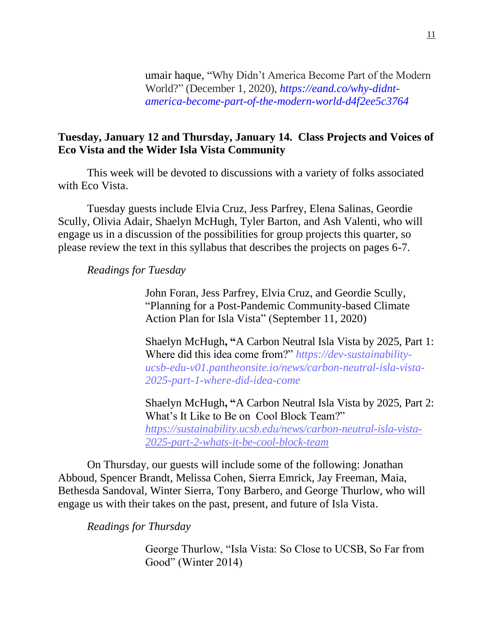[umair haque,](https://medium.com/@umairh?source=post_page-----d4f2ee5c3764--------------------------------) "Why Didn't America Become Part of the Modern World?" (December 1, 2020), *[https://eand.co/why-didnt](https://eand.co/why-didnt-america-become-part-of-the-modern-world-d4f2ee5c3764)[america-become-part-of-the-modern-world-d4f2ee5c3764](https://eand.co/why-didnt-america-become-part-of-the-modern-world-d4f2ee5c3764)*

## **Tuesday, January 12 and Thursday, January 14. Class Projects and Voices of Eco Vista and the Wider Isla Vista Community**

This week will be devoted to discussions with a variety of folks associated with Eco Vista.

Tuesday guests include Elvia Cruz, Jess Parfrey, Elena Salinas, Geordie Scully, Olivia Adair, Shaelyn McHugh, Tyler Barton, and Ash Valenti, who will engage us in a discussion of the possibilities for group projects this quarter, so please review the text in this syllabus that describes the projects on pages 6-7.

### *Readings for Tuesday*

John Foran, Jess Parfrey, Elvia Cruz, and Geordie Scully, "Planning for a Post-Pandemic Community-based Climate Action Plan for Isla Vista" (September 11, 2020)

Shaelyn McHugh**, "**A Carbon Neutral Isla Vista by 2025, Part 1: Where did this idea come from?" *[https://dev-sustainability](https://dev-sustainability-ucsb-edu-v01.pantheonsite.io/news/carbon-neutral-isla-vista-2025-part-1-where-did-idea-come)[ucsb-edu-v01.pantheonsite.io/news/carbon-neutral-isla-vista-](https://dev-sustainability-ucsb-edu-v01.pantheonsite.io/news/carbon-neutral-isla-vista-2025-part-1-where-did-idea-come)[2025-part-1-where-did-idea-come](https://dev-sustainability-ucsb-edu-v01.pantheonsite.io/news/carbon-neutral-isla-vista-2025-part-1-where-did-idea-come)*

Shaelyn McHugh**, "**A Carbon Neutral Isla Vista by 2025, Part 2: What's It Like to Be on Cool Block Team?" *[https://sustainability.ucsb.edu/news/carbon-neutral-isla-vista-](https://sustainability.ucsb.edu/news/carbon-neutral-isla-vista-2025-part-2-whats-it-be-cool-block-team)[2025-part-2-whats-it-be-cool-block-team](https://sustainability.ucsb.edu/news/carbon-neutral-isla-vista-2025-part-2-whats-it-be-cool-block-team)*

On Thursday, our guests will include some of the following: Jonathan Abboud, Spencer Brandt, Melissa Cohen, Sierra Emrick, Jay Freeman, Maia, Bethesda Sandoval, Winter Sierra, Tony Barbero, and George Thurlow, who will engage us with their takes on the past, present, and future of Isla Vista.

*Readings for Thursday*

George Thurlow, "Isla Vista: So Close to UCSB, So Far from Good" (Winter 2014)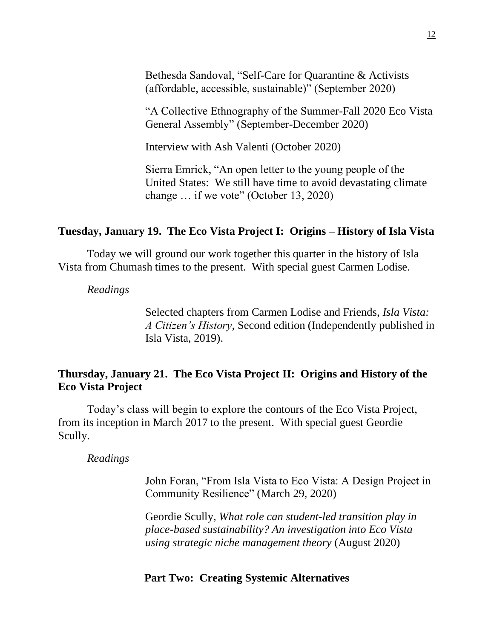Bethesda Sandoval, "Self-Care for Quarantine & Activists (affordable, accessible, sustainable)" (September 2020)

"A Collective Ethnography of the Summer-Fall 2020 Eco Vista General Assembly" (September-December 2020)

Interview with Ash Valenti (October 2020)

Sierra Emrick, "An open letter to the young people of the United States: We still have time to avoid devastating climate change … if we vote" (October 13, 2020)

## **Tuesday, January 19. The Eco Vista Project I: Origins – History of Isla Vista**

Today we will ground our work together this quarter in the history of Isla Vista from Chumash times to the present. With special guest Carmen Lodise.

*Readings*

Selected chapters from Carmen Lodise and Friends, *Isla Vista: A Citizen's History*, Second edition (Independently published in Isla Vista, 2019).

## **Thursday, January 21. The Eco Vista Project II: Origins and History of the Eco Vista Project**

Today's class will begin to explore the contours of the Eco Vista Project, from its inception in March 2017 to the present. With special guest Geordie Scully.

*Readings*

John Foran, "From Isla Vista to Eco Vista: A Design Project in Community Resilience" (March 29, 2020)

Geordie Scully*, What role can student-led transition play in place-based sustainability? An investigation into Eco Vista using strategic niche management theory* (August 2020)

## **Part Two: Creating Systemic Alternatives**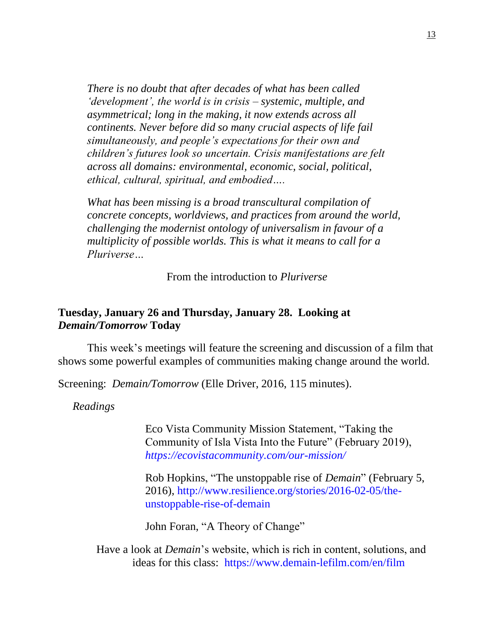*There is no doubt that after decades of what has been called 'development', the world is in crisis – systemic, multiple, and asymmetrical; long in the making, it now extends across all continents. Never before did so many crucial aspects of life fail simultaneously, and people's expectations for their own and children's futures look so uncertain. Crisis manifestations are felt across all domains: environmental, economic, social, political, ethical, cultural, spiritual, and embodied….*

*What has been missing is a broad transcultural compilation of concrete concepts, worldviews, and practices from around the world, challenging the modernist ontology of universalism in favour of a multiplicity of possible worlds. This is what it means to call for a Pluriverse…*

From the introduction to *Pluriverse*

## **Tuesday, January 26 and Thursday, January 28. Looking at**  *Demain/Tomorrow* **Today**

This week's meetings will feature the screening and discussion of a film that shows some powerful examples of communities making change around the world.

Screening: *Demain/Tomorrow* (Elle Driver, 2016, 115 minutes).

*Readings*

Eco Vista Community Mission Statement, "Taking the Community of Isla Vista Into the Future" (February 2019), *<https://ecovistacommunity.com/our-mission/>*

[Rob Hopkins,](http://www.resilience.org/author-detail/1000533-rob-hopkins) "The unstoppable rise of *Demain*" (February 5, 2016), [http://www.resilience.org/stories/2016-02-05/the](http://www.resilience.org/stories/2016-02-05/the-unstoppable-rise-of-demain)[unstoppable-rise-of-demain](http://www.resilience.org/stories/2016-02-05/the-unstoppable-rise-of-demain)

John Foran, "A Theory of Change"

Have a look at *Demain*'s website, which is rich in content, solutions, and ideas for this class: <https://www.demain-lefilm.com/en/film>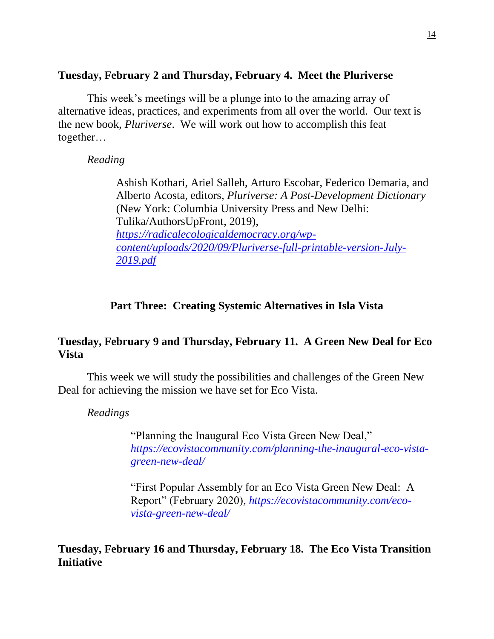## **Tuesday, February 2 and Thursday, February 4. Meet the Pluriverse**

This week's meetings will be a plunge into to the amazing array of alternative ideas, practices, and experiments from all over the world. Our text is the new book, *Pluriverse*. We will work out how to accomplish this feat together…

*Reading*

Ashish Kothari, Ariel Salleh, Arturo Escobar, Federico Demaria, and Alberto Acosta, editors, *Pluriverse: A Post-Development Dictionary* (New York: Columbia University Press and New Delhi: Tulika/AuthorsUpFront, 2019), *[https://radicalecologicaldemocracy.org/wp](https://radicalecologicaldemocracy.org/wp-content/uploads/2020/09/Pluriverse-full-printable-version-July-2019.pdf)[content/uploads/2020/09/Pluriverse-full-printable-version-July-](https://radicalecologicaldemocracy.org/wp-content/uploads/2020/09/Pluriverse-full-printable-version-July-2019.pdf)[2019.pdf](https://radicalecologicaldemocracy.org/wp-content/uploads/2020/09/Pluriverse-full-printable-version-July-2019.pdf)*

## **Part Three: Creating Systemic Alternatives in Isla Vista**

## **Tuesday, February 9 and Thursday, February 11. A Green New Deal for Eco Vista**

This week we will study the possibilities and challenges of the Green New Deal for achieving the mission we have set for Eco Vista.

*Readings*

"Planning the Inaugural Eco Vista Green New Deal," *[https://ecovistacommunity.com/planning-the-inaugural-eco-vista](https://ecovistacommunity.com/planning-the-inaugural-eco-vista-green-new-deal/)[green-new-deal/](https://ecovistacommunity.com/planning-the-inaugural-eco-vista-green-new-deal/)*

"First Popular Assembly for an Eco Vista Green New Deal: A Report" (February 2020), *[https://ecovistacommunity.com/eco](https://ecovistacommunity.com/eco-vista-green-new-deal/)[vista-green-new-deal/](https://ecovistacommunity.com/eco-vista-green-new-deal/)*

**Tuesday, February 16 and Thursday, February 18. The Eco Vista Transition Initiative**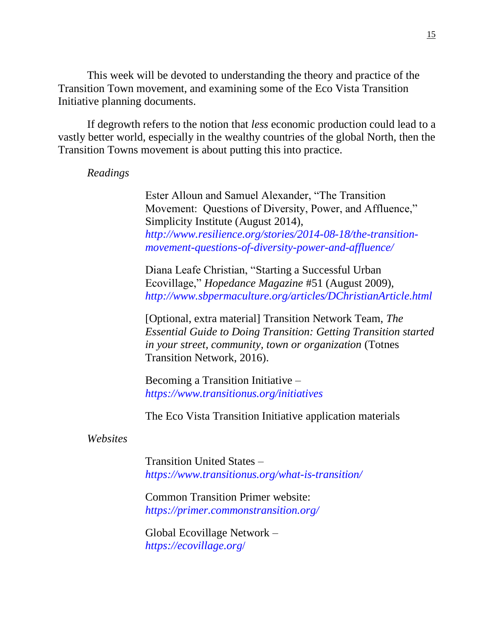This week will be devoted to understanding the theory and practice of the Transition Town movement, and examining some of the Eco Vista Transition Initiative planning documents.

If degrowth refers to the notion that *less* economic production could lead to a vastly better world, especially in the wealthy countries of the global North, then the Transition Towns movement is about putting this into practice.

#### *Readings*

Ester Alloun and Samuel Alexander, "The Transition Movement: Questions of Diversity, Power, and Affluence," Simplicity Institute (August 2014), *[http://www.resilience.org/stories/2014-08-18/the-transition](http://www.resilience.org/stories/2014-08-18/the-transition-movement-questions-of-diversity-power-and-affluence/)[movement-questions-of-diversity-power-and-affluence/](http://www.resilience.org/stories/2014-08-18/the-transition-movement-questions-of-diversity-power-and-affluence/)*

Diana Leafe Christian, "Starting a Successful Urban Ecovillage," *Hopedance Magazine* #51 (August 2009), *<http://www.sbpermaculture.org/articles/DChristianArticle.html>*

[Optional, extra material] Transition Network Team, *The Essential Guide to Doing Transition: Getting Transition started in your street, community, town or organization* (Totnes Transition Network, 2016).

Becoming a Transition Initiative – *<https://www.transitionus.org/initiatives>*

The Eco Vista Transition Initiative application materials

*Websites* 

Transition United States – *<https://www.transitionus.org/what-is-transition/>*

Common Transition Primer website: *<https://primer.commonstransition.org/>*

Global Ecovillage Network – *[https://ecovillage.org](https://ecovillage.org/)*/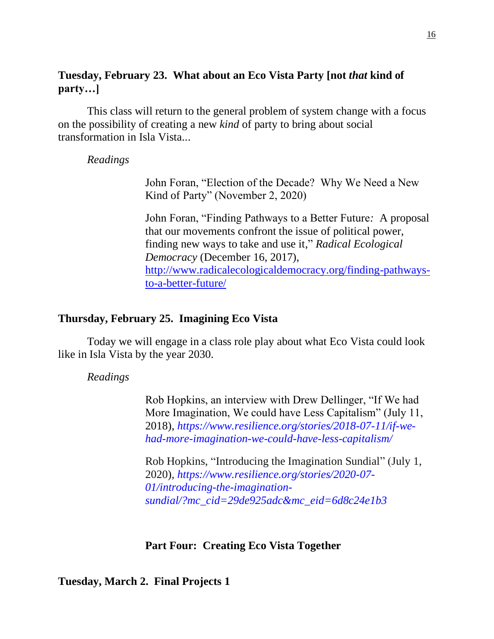## **Tuesday, February 23. What about an Eco Vista Party [not** *that* **kind of party…]**

This class will return to the general problem of system change with a focus on the possibility of creating a new *kind* of party to bring about social transformation in Isla Vista...

### *Readings*

John Foran, "Election of the Decade? Why We Need a New Kind of Party" (November 2, 2020)

John Foran, "Finding Pathways to a Better Future*:* A proposal that our movements confront the issue of political power, finding new ways to take and use it*,*" *Radical Ecological Democracy* (December 16, 2017), [http://www.radicalecologicaldemocracy.org/finding-pathways](http://www.radicalecologicaldemocracy.org/finding-pathways-to-a-better-future/)[to-a-better-future/](http://www.radicalecologicaldemocracy.org/finding-pathways-to-a-better-future/)

### **Thursday, February 25. Imagining Eco Vista**

Today we will engage in a class role play about what Eco Vista could look like in Isla Vista by the year 2030.

*Readings* 

Rob Hopkins, an interview with Drew Dellinger, "If We had More Imagination, We could have Less Capitalism" (July 11, 2018), *[https://www.resilience.org/stories/2018-07-11/if-we](https://www.resilience.org/stories/2018-07-11/if-we-had-more-imagination-we-could-have-less-capitalism/)[had-more-imagination-we-could-have-less-capitalism/](https://www.resilience.org/stories/2018-07-11/if-we-had-more-imagination-we-could-have-less-capitalism/)*

Rob Hopkins, "Introducing the Imagination Sundial" (July 1, 2020), *[https://www.resilience.org/stories/2020-07-](https://www.resilience.org/stories/2020-07-01/introducing-the-imagination-sundial/?mc_cid=29de925adc&mc_eid=6d8c24e1b3) [01/introducing-the-imagination](https://www.resilience.org/stories/2020-07-01/introducing-the-imagination-sundial/?mc_cid=29de925adc&mc_eid=6d8c24e1b3)[sundial/?mc\\_cid=29de925adc&mc\\_eid=6d8c24e1b3](https://www.resilience.org/stories/2020-07-01/introducing-the-imagination-sundial/?mc_cid=29de925adc&mc_eid=6d8c24e1b3)*

#### **Part Four: Creating Eco Vista Together**

**Tuesday, March 2. Final Projects 1**